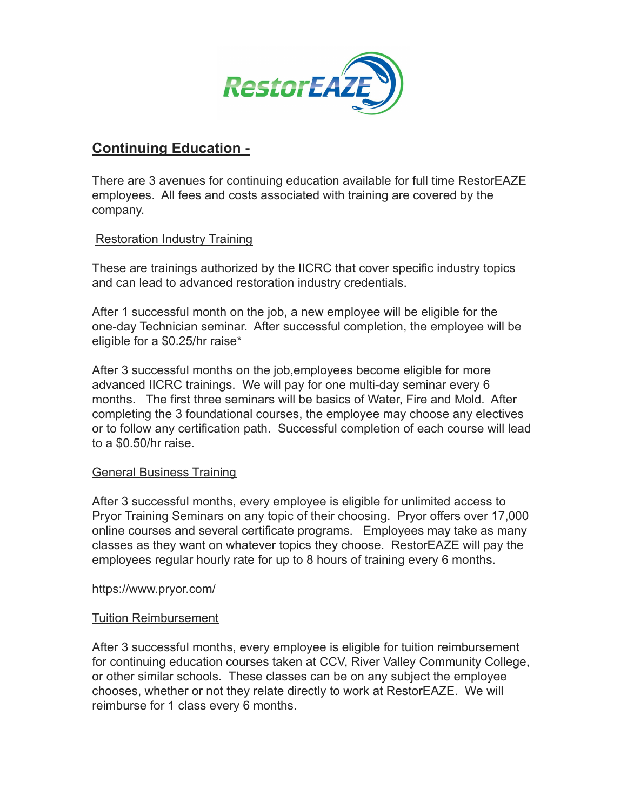

## **Continuing Education -**

There are 3 avenues for continuing education available for full time RestorEAZE employees. All fees and costs associated with training are covered by the company.

## Restoration Industry Training

These are trainings authorized by the IICRC that cover specific industry topics and can lead to advanced restoration industry credentials.

After 1 successful month on the job, a new employee will be eligible for the one-day Technician seminar. After successful completion, the employee will be eligible for a \$0.25/hr raise\*

After 3 successful months on the job,employees become eligible for more advanced IICRC trainings. We will pay for one multi-day seminar every 6 months. The first three seminars will be basics of Water, Fire and Mold. After completing the 3 foundational courses, the employee may choose any electives or to follow any certification path. Successful completion of each course will lead to a \$0.50/hr raise.

## General Business Training

After 3 successful months, every employee is eligible for unlimited access to Pryor Training Seminars on any topic of their choosing. Pryor offers over 17,000 online courses and several certificate programs. Employees may take as many classes as they want on whatever topics they choose. RestorEAZE will pay the employees regular hourly rate for up to 8 hours of training every 6 months.

https://www.pryor.com/

## Tuition Reimbursement

After 3 successful months, every employee is eligible for tuition reimbursement for continuing education courses taken at CCV, River Valley Community College, or other similar schools. These classes can be on any subject the employee chooses, whether or not they relate directly to work at RestorEAZE. We will reimburse for 1 class every 6 months.